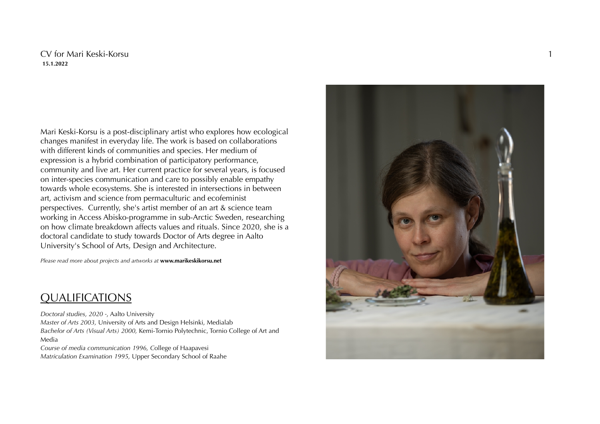### CV for Mari Keski-Korsu **15.1.2022**

Mari Keski-Korsu is a post-disciplinary artist who explores how ecological changes manifest in everyday life. The work is based on collaborations with different kinds of communities and species. Her medium of expression is a hybrid combination of participatory performance, community and live art. Her current practice for several years, is focused on inter-species communication and care to possibly enable empathy towards whole ecosystems. She is interested in intersections in between art, activism and science from permaculturic and ecofeminist perspectives. Currently, she's artist member of an art & science team working in Access Abisko-programme in sub-Arctic Sweden, researching on how climate breakdown affects values and rituals. Since 2020, she is a doctoral candidate to study towards Doctor of Arts degree in Aalto University's School of Arts, Design and Architecture.

*Please read more about projects and artworks at* **www.marikeskikorsu.net**

### QUALIFICATIONS

*Doctoral studies, 2020 -*, Aalto University *Master of Arts 2003,* University of Arts and Design Helsinki, Medialab *Bachelor of Arts (Visual Arts) 2000,* Kemi-Tornio Polytechnic, Tornio College of Art and Media *Course of media communication 1996, C*ollege of Haapavesi

*Matriculation Examination 1995,* Upper Secondary School of Raahe

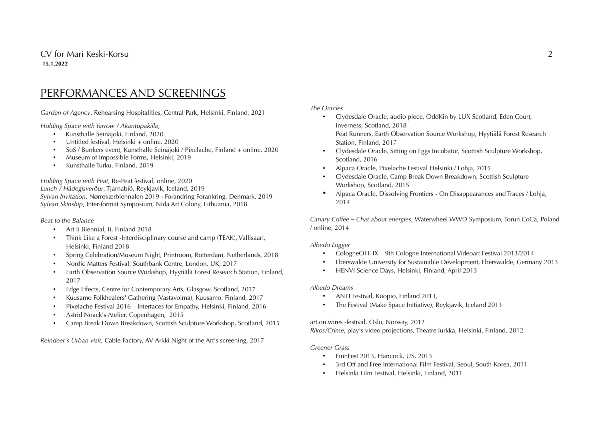## PERFORMANCES AND SCREENINGS

*Garden of Agency*, Rehearsing Hospitalities, Central Park, Helsinki, Finland, 2021

*Holding Space with Yarrow / Akantupakilla*,

- Kunsthalle Seinäjoki, Finland, 2020
- Untitled festival, Helsinki + online, 2020
- SoS / Bunkers event, Kunsthalle Seinäjoki / Pixelache, Finland + online, 2020
- Museum of Impossible Forms, Helsinki, 2019
- Kunsthalle Turku, Finland, 2019

*Holding Space with Peat*, Re-Peat festival, online, 2020 *Lunch / Hádegisverður*, Tjarnabíó, Reykjavik, Iceland, 2019 *Sylvan Invitation*, Nørrekærbiennalen 2019 - Forandring Forankring, Denmark, 2019 *Sylvan Skinship*, Inter-format Symposium, Nida Art Colony, Lithuania, 2018

#### *Beat to the Balance*

- Art Ii Biennial, Ii, Finland 2018
- Think Like a Forest -Interdisciplinary course and camp (TEAK), Vallisaari, Helsinki, Finland 2018
- Spring Celebration/Museum Night, Printroom, Rotterdam, Netherlands, 2018
- Nordic Matters Festival, Southbank Centre, London, UK, 2017
- Earth Observation Source Workshop, Hyytiälä Forest Research Station, Finland, 2017
- Edge Effects, Centre for Contemporary Arts, Glasgow, Scotland, 2017
- Kuusamo Folkhealers' Gathering (Vastavoima), Kuusamo, Finland, 2017
- Pixelache Festival 2016 Interfaces for Empathy, Helsinki, Finland, 2016
- Astrid Noack's Atelier, Copenhagen, 2015
- Camp Break Down Breakdown, Scottish Sculpture Workshop, Scotland, 2015

*Reindeer's Urban visit,* Cable Factory, AV-Arkki Night of the Art's screening, 2017

*The Oracles*

- Clydesdale Oracle, audio piece, OddKin by LUX Scotland, Eden Court, Inverness, Scotland, 2018 Peat Runners, Earth Observation Source Workshop, Hyytiälä Forest Research
- Station, Finland, 2017 • Clydesdale Oracle, Sitting on Eggs Incubator, Scottish Sculpture Workshop,
- Scotland, 2016
- Alpaca Oracle, Pixelache Festival Helsinki / Lohja, 2015
- Clydesdale Oracle, Camp Break Down Breakdown, Scottish Sculpture Workshop, Scotland, 2015
- Alpaca Oracle, Dissolving Frontiers On Disappearances and Traces / Lohja, 2014

*Canary Coffee – Chat about energies*, Waterwheel WWD Symposium, Torun CoCa, Poland / online, 2014

#### *Albedo Logger*

- CologneOFF IX 9th Cologne International Videoart Festival 2013/2014
- Eberswalde University for Sustainable Development, Eberswalde, Germany 2013
- HENVI Science Days, Helsinki, Finland, April 2013

#### *Albedo Dreams*

- ANTI Festival, Kuopio, Finland 2013,
- The Festival (Make Space Initiative), Reykjavik, Iceland 2013

### art.on.wires -festival, Oslo, Norway, 2012

*Rikos/Crime*, play's video projections, Theatre Jurkka, Helsinki, Finland, 2012

#### *Greener Grass*

- FinnFest 2013, Hancock, US, 2013
- 3rd Off and Free International Film Festival, Seoul, South-Korea, 2011
- Helsinki Film Festival, Helsinki, Finland, 2011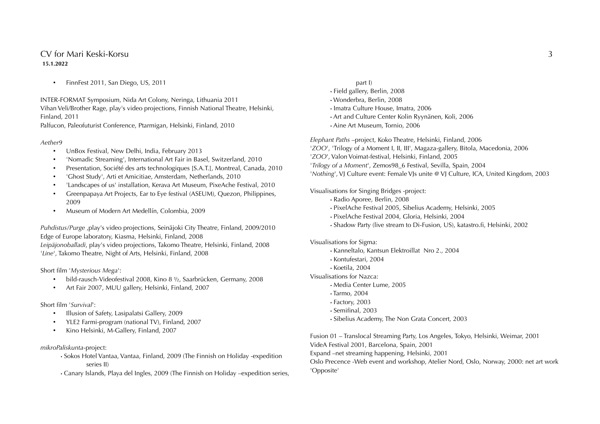### CV for Mari Keski-Korsu 3 **15.1.2022**

• FinnFest 2011, San Diego, US, 2011

INTER-FORMAT Symposium, Nida Art Colony, Neringa, Lithuania 2011 Vihan Veli/Brother Rage, play's video projections, Finnish National Theatre, Helsinki, Finland, 2011

Palfucon, Paleofuturist Conference, Ptarmigan, Helsinki, Finland, 2010

#### *Aether9*

- UnBox Festival, New Delhi, India, February 2013
- 'Nomadic Streaming', International Art Fair in Basel, Switzerland, 2010
- Presentation, Société des arts technologiques [S.A.T.], Montreal, Canada, 2010
- 'Ghost Study', Arti et Amicitiae, Amsterdam, Netherlands, 2010
- 'Landscapes of us' installation, Kerava Art Museum, PixeAche Festival, 2010
- Greenpapaya Art Projects, Ear to Eye festival (ASEUM), Quezon, Philippines, 2009
- Museum of Modern Art Medellín, Colombia, 2009

*Puhdistus/Purge* ,play's video projections, Seinäjoki City Theatre, Finland, 2009/2010 Edge of Europe laboratory, Kiasma, Helsinki, Finland, 2008

*Leipäjonoballadi*, play's video projections, Takomo Theatre, Helsinki, Finland, 2008 '*Line*', Takomo Theatre, Night of Arts, Helsinki, Finland, 2008

Short film '*Mysterious Mega*':

- bild-rausch-Videofestival 2008, Kino 8 ½, Saarbrücken, Germany, 2008
- Art Fair 2007, MUU gallery, Helsinki, Finland, 2007

#### Short film '*Survival*':

- Illusion of Safety, Lasipalatsi Gallery, 2009
- YLE2 Farmi-program (national TV), Finland, 2007
- Kino Helsinki, M-Gallery, Finland, 2007

#### *mikroPaliskunta*-project:

- Sokos Hotel Vantaa, Vantaa, Finland, 2009 (The Finnish on Holiday -expedition series II)
- Canary Islands, Playa del Ingles, 2009 (The Finnish on Holiday –expedition series,

part I)

- Field gallery, Berlin, 2008
- Wonderbra, Berlin, 2008
- Imatra Culture House, Imatra, 2006
- Art and Culture Center Kolin Ryynänen, Koli, 2006
- Aine Art Museum, Tornio, 2006

*Elephant Paths* –project, Koko Theatre, Helsinki, Finland, 2006 '*ZOO*', 'Trilogy of a Moment I, II, III', Magaza-gallery, Bitola, Macedonia, 2006 '*ZOO*', Valon Voimat-festival, Helsinki, Finland, 2005 '*Trilogy of a Moment*', Zemos98\_6 Festival, Sevilla, Spain, 2004 '*Nothing*', VJ Culture event: Female VJs unite @ VJ Culture, ICA, United Kingdom, 2003

Visualisations for Singing Bridges -project:

- Radio Aporee, Berlin, 2008
- PixelAche Festival 2005, Sibelius Academy, Helsinki, 2005
- PixelAche Festival 2004, Gloria, Helsinki, 2004
- Shadow Party (live stream to Di-Fusion, US), katastro.fi, Helsinki, 2002

Visualisations for Sigma:

- Kanneltalo, Kantsun Elektroillat Nro 2., 2004
- Kontufestari, 2004
- Koetila, 2004

Visualisations for Nazca:

- Media Center Lume, 2005
- Tarmo, 2004
- Factory, 2003
- Semifinal, 2003
- Sibelius Academy, The Non Grata Concert, 2003

Fusion 01 – Translocal Streaming Party, Los Angeles, Tokyo, Helsinki, Weimar, 2001 VideA Festival 2001, Barcelona, Spain, 2001 Expand –net streaming happening, Helsinki, 2001 Oslo Precence -Web event and workshop, Atelier Nord, Oslo, Norway, 2000: net art work 'Opposite'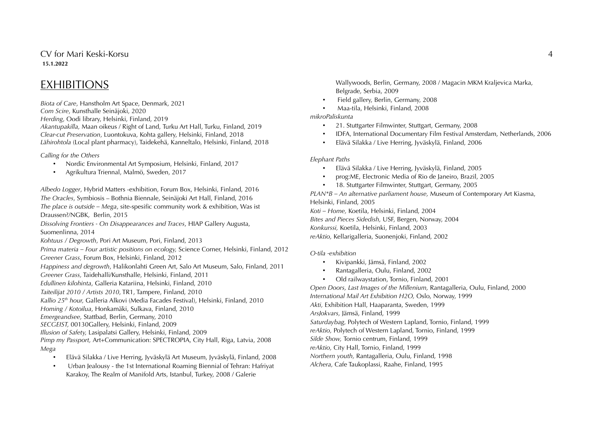CV for Mari Keski-Korsu 4 **15.1.2022**

## EXHIBITIONS

*Biota of Care*, Hanstholm Art Space, Denmark, 2021 *Com Scire*, Kunsthalle Seinäjoki, 2020 *Herding*, Oodi library, Helsinki, Finland, 2019 *Akantupakilla,* Maan oikeus / Right of Land, Turku Art Hall, Turku, Finland, 2019 *Clear-cut Preservation*, Luontokuva, Kohta gallery, Helsinki, Finland, 2018 *Lähirohtola* (Local plant pharmacy), Taidekehä, Kanneltalo, Helsinki, Finland, 2018

*Calling for the Others*

- Nordic Environmental Art Symposium, Helsinki, Finland, 2017
- Agrikultura Triennal, Malmö, Sweden, 2017

*Albedo Logger*, Hybrid Matters -exhibition, Forum Box, Helsinki, Finland, 2016 *The Oracles*, Symbiosis – Bothnia Biennale, Seinäjoki Art Hall, Finland, 2016 *The place is outside – Mega*, site-spesific community work & exhibition, Was ist Draussen?/NGBK, Berlin, 2015 *Dissolving Frontiers - On Disappearances and Traces*, HIAP Gallery Augusta, Suomenlinna, 2014 *Kohtuus / Degrowth*, Pori Art Museum, Pori, Finland, 2013 *Prima materia – Four artistic positions on ecology,* Science Corner, Helsinki, Finland, 2012 *Greener Grass*, Forum Box, Helsinki, Finland, 2012 *Happiness and degrowth*, Halikonlahti Green Art, Salo Art Museum, Salo, Finland, 2011 *Greener Grass,* Taidehalli/Kunsthalle, Helsinki, Finland, 2011 *Edullinen kilohinta*, Galleria Katariina, Helsinki, Finland, 2010 *Taiteilijat 2010 / Artists 2010*, TR1, Tampere, Finland, 2010 *Kallio 25th hour,* Galleria Alkovi (Media Facades Festival), Helsinki, Finland, 2010 *Homing / Kotoilua*, Honkamäki, Sulkava, Finland, 2010 *Emergeandsee,* Stattbad, Berlin, Germany, 2010 *SECGEIST,* 00130Gallery, Helsinki, Finland, 2009 *Illusion of Safety,* Lasipalatsi Gallery, Helsinki, Finland, 2009 *Pimp my Passport,* Art+Communication: SPECTROPIA, City Hall, Riga, Latvia, 2008 *Mega*

- Elävä Silakka / Live Herring, Jyväskylä Art Museum, Jyväskylä, Finland, 2008
- Urban Jealousy the 1st International Roaming Biennial of Tehran: Hafriyat Karakoy, The Realm of Manifold Arts, Istanbul, Turkey, 2008 / Galerie

Wallywoods, Berlin, Germany, 2008 / Magacin MKM Kraljevica Marka, Belgrade, Serbia, 2009

- Field gallery, Berlin, Germany, 2008
- Maa-tila, Helsinki, Finland, 2008

*mikroPaliskunta*

- 21. Stuttgarter Filmwinter, Stuttgart, Germany, 2008
- IDFA, International Documentary Film Festival Amsterdam, Netherlands, 2006
- Elävä Silakka / Live Herring, Jyväskylä, Finland, 2006

#### *Elephant Paths*

- Elävä Silakka / Live Herring, Jyväskylä, Finland, 2005
- prog:ME, Electronic Media of Rio de Janeiro, Brazil, 2005
- 18. Stuttgarter Filmwinter, Stuttgart, Germany, 2005

*PLAN\*B – An alternative parliament house,* Museum of Contemporary Art Kiasma, Helsinki, Finland, 2005 *Koti – Home,* Koetila, Helsinki, Finland, 2004

*Bites and Pieces Sidedish,* USF, Bergen, Norway, 2004 *Konkurssi,* Koetila, Helsinki, Finland, 2003 *reAktio,* Kellarigalleria, Suonenjoki, Finland, 2002

*O-tila -exhibition*

- Kivipankki, Jämsä, Finland, 2002
- Rantagalleria, Oulu, Finland, 2002
- Old railwaystation, Tornio, Finland, 2001

*Open Doors, Last Images of the Millenium,* Rantagalleria, Oulu, Finland, 2000 *International Mail Art Exhibition H2O,* Oslo, Norway, 1999 *Akti,* Exhibition Hall, Haaparanta, Sweden, 1999 *ArsJokvars,* Jämsä, Finland, 1999 *Saturdaybag,* Polytech of Western Lapland, Tornio, Finland, 1999 *reAktio,* Polytech of Western Lapland, Tornio, Finland, 1999 *Silde Show,* Tornio centrum, Finland, 1999 *reAktio,* City Hall, Tornio, Finland, 1999 *Northern youth,* Rantagalleria, Oulu, Finland, 1998 *Alchera,* Cafe Taukoplassi, Raahe, Finland, 1995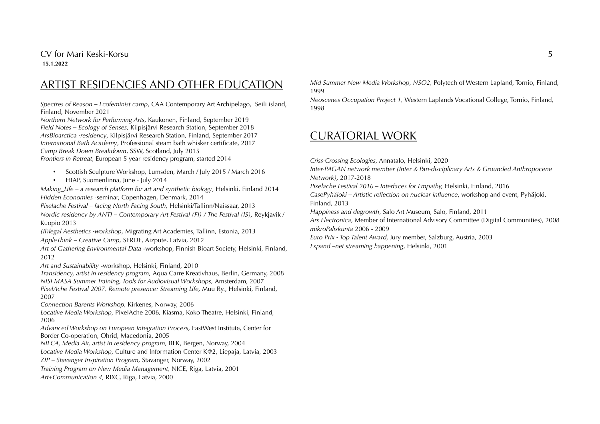### CV for Mari Keski-Korsu 5 **15.1.2022**

# ARTIST RESIDENCIES AND OTHER EDUCATION

*Spectres of Reason – Ecofeminist camp*, CAA Contemporary Art Archipelago, Seili island, Finland, November 2021

*Northern Network for Performing Arts*, Kaukonen, Finland, September 2019 *Field Notes – Ecology of Senses*, Kilpisjärvi Research Station, September 2018 *ArsBioarctica -residency*, Kilpisjärvi Research Station, Finland, September 2017 *International Bath Academy*, Professional steam bath whisker certificate, 2017 *Camp Break Down Breakdown*, SSW, Scotland, July 2015

*Frontiers in Retreat*, European 5 year residency program, started 2014

- Scottish Sculpture Workshop, Lumsden, March / July 2015 / March 2016
- HIAP, Suomenlinna, June July 2014

*Making\_Life – a research platform for art and synthetic biology*, Helsinki, Finland 2014 *Hidden Economies* -seminar, Copenhagen, Denmark, 2014

*Pixelache Festival – facing North Facing South,* Helsinki/Tallinn/Naissaar, 2013 *Nordic residency by ANTI – Contemporary Art Festival (FI) / The Festival (IS), Reykjavik /* Kuopio 2013

*(Il)legal Aesthetics -workshop,* Migrating Art Academies, Tallinn, Estonia, 2013 *AppleThink – Creative Camp,* SERDE, Aizpute, Latvia, 2012

*Art of Gathering Environmental Data* -workshop, Finnish Bioart Society, Helsinki, Finland, 2012

*Art and Sustainability* -workshop, Helsinki, Finland, 2010

*Transidency, artist in residency program,* Aqua Carre Kreativhaus, Berlin, Germany, 2008 *NISI MASA Summer Training, Tools for Audiovisual Workshops,* Amsterdam, 2007 *PixelAche Festival 2007, Remote presence: Streaming Life,* Muu Ry., Helsinki, Finland, 2007

*Connection Barents Workshop,* Kirkenes, Norway, 2006

*Locative Media Workshop,* PixelAche 2006*,* Kiasma, Koko Theatre, Helsinki, Finland, 2006

*Advanced Workshop on European Integration Process,* EastWest Institute, Center for Border Co-operation, Ohrid, Macedonia, 2005

*NIFCA, Media Air, artist in residency program,* BEK, Bergen, Norway, 2004

*Locative Media Workshop,* Culture and Information Center K@2, Liepaja, Latvia, 2003

*ZIP – Stavanger Inspiration Program,* Stavanger, Norway, 2002

*Training Program on New Media Management,* NICE, Riga, Latvia, 2001

*Art+Communication 4,* RIXC, Riga, Latvia, 2000

*Mid-Summer New Media Workshop, NSO2,* Polytech of Western Lapland, Tornio, Finland, 1999

*Neoscenes Occupation Project 1,* Western Laplands Vocational College, Tornio, Finland, 1998

### CURATORIAL WORK

*Criss-Crossing Ecologies,* Annatalo, Helsinki, 2020

*Inter-PAGAN network member (Inter & Pan-disciplinary Arts & Grounded Anthropocene Network),* 2017-2018

*Pixelache Festival 2016 – Interfaces for Empathy,* Helsinki, Finland, 2016

*CasePyhäjoki – Artistic reflection on nuclear influence*, workshop and event, Pyhäjoki, Finland, 2013

*Happiness and degrowth*, Salo Art Museum, Salo, Finland, 2011

*Ars Electronica,* Member of International Advisory Committee (Digital Communities), 2008 *mikroPaliskunta* 2006 - 2009

*Euro Prix - Top Talent Award,* Jury member, Salzburg, Austria, 2003 *Expand –net streaming happening*, Helsinki, 2001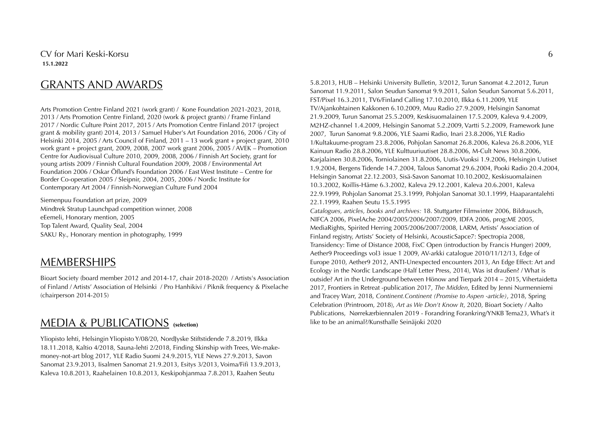# GRANTS AND AWARDS

Arts Promotion Centre Finland 2021 (work grant) / Kone Foundation 2021-2023, 2018, 2013 / Arts Promotion Centre Finland, 2020 (work & project grants) / Frame Finland 2017 / Nordic Culture Point 2017, 2015 / Arts Promotion Centre Finland 2017 (project grant & mobility grant) 2014, 2013 / Samuel Huber's Art Foundation 2016, 2006 / City of Helsinki 2014, 2005 / Arts Council of Finland, 2011 – 13 work grant + project grant, 2010 work grant + project grant, 2009, 2008, 2007 work grant 2006, 2005 / AVEK – Promotion Centre for Audiovisual Culture 2010, 2009, 2008, 2006 / Finnish Art Society, grant for young artists 2009 / Finnish Cultural Foundation 2009, 2008 / Environmental Art Foundation 2006 / Oskar Öflund's Foundation 2006 / East West Institute – Centre for Border Co-operation 2005 / Sleipnir, 2004, 2005, 2006 / Nordic Institute for Contemporary Art 2004 / Finnish-Norwegian Culture Fund 2004

Siemenpuu Foundation art prize, 2009 Mindtrek Stratup Launchpad competition winner, 2008 eEemeli, Honorary mention, 2005 Top Talent Award, Quality Seal, 2004 SAKU Ry., Honorary mention in photography, 1999

## MEMBERSHIPS

Bioart Society (board member 2012 and 2014-17, chair 2018-2020) / Artists's Association of Finland / Artists' Association of Helsinki / Pro Hanhikivi / Piknik frequency & Pixelache (chairperson 2014-2015)

## MEDIA & PUBLICATIONS **(selection)**

Yliopisto lehti, Helsingin Yliopisto Y/08/20, NordJyske Stiftstidende 7.8.2019, Ilkka 18.11.2018, Kaltio 4/2018, Sauna-lehti 2/2018, Finding Skinship with Trees, We-makemoney-not-art blog 2017, YLE Radio Suomi 24.9.2015, YLE News 27.9.2013, Savon Sanomat 23.9.2013, Iisalmen Sanomat 21.9.2013, Esitys 3/2013, Voima/Fifi 13.9.2013, Kaleva 10.8.2013, Raahelainen 10.8.2013, Keskipohjanmaa 7.8.2013, Raahen Seutu

5.8.2013, HUB – Helsinki University Bulletin, 3/2012, Turun Sanomat 4.2.2012, Turun Sanomat 11.9.2011, Salon Seudun Sanomat 9.9.2011, Salon Seudun Sanomat 5.6.2011, FST/Pixel 16.3.2011, TV6/Finland Calling 17.10.2010, Ilkka 6.11.2009, YLE TV/Ajankohtainen Kakkonen 6.10.2009, Muu Radio 27.9.2009, Helsingin Sanomat 21.9.2009, Turun Sanomat 25.5.2009, Keskisuomalainen 17.5.2009, Kaleva 9.4.2009, M2HZ-channel 1.4.2009, Helsingin Sanomat 5.2.2009, Vartti 5.2.2009, Framework June 2007, Turun Sanomat 9.8.2006, YLE Saami Radio, Inari 23.8.2006, YLE Radio 1/Kultakuume-program 23.8.2006, Pohjolan Sanomat 26.8.2006, Kaleva 26.8.2006, YLE Kainuun Radio 28.8.2006, YLE Kulttuuriuutiset 28.8.2006, M-Cult News 30.8.2006, Karjalainen 30.8.2006, Torniolainen 31.8.2006, Uutis-Vuoksi 1.9.2006, Helsingin Uutiset 1.9.2004, Bergens Tidende 14.7.2004, Talous Sanomat 29.6.2004, Pooki Radio 20.4.2004, Helsingin Sanomat 22.12.2003, Sisä-Savon Sanomat 10.10.2002, Keskisuomalainen 10.3.2002, Koillis-Häme 6.3.2002, Kaleva 29.12.2001, Kaleva 20.6.2001, Kaleva 22.9.1999, Pohjolan Sanomat 25.3.1999, Pohjolan Sanomat 30.1.1999, Haaparantalehti 22.1.1999, Raahen Seutu 15.5.1995

*Catalogues, articles, books and archives:* 18. Stuttgarter Filmwinter 2006, Bildrausch, NIFCA 2006, PixelAche 2004/2005/2006/2007/2009, IDFA 2006, prog:ME 2005, MediaRights, Spirited Herring 2005/2006/2007/2008, LARM, Artists' Association of Finland registry, Artists' Society of Helsinki, AcousticSapce7: Spectropia 2008, Transidency: Time of Distance 2008, FixC Open (introduction by Francis Hunger) 2009, Aether9 Proceedings vol3 issue 1 2009, AV-arkki catalogue 2010/11/12/13, Edge of Europe 2010, Aether9 2012, ANTI-Unexpected encounters 2013, An Edge Effect: Art and Ecology in the Nordic Landscape (Half Letter Press, 2014), Was ist draußen? / What is outside? Art in the Underground between Hönow and Tierpark 2014 – 2015, Vihertaidetta 2017, Frontiers in Retreat -publication 2017, *The Midden*, Edited by Jenni Nurmenniemi and Tracey Warr, 2018, *Continent.Continent (Promise to Aspen -article)*, 2018, Spring Celebration (Printroom, 2018), *Art as We Don't Know It*, 2020, Bioart Society / Aalto Publications, Nørrekærbiennalen 2019 - Forandring Forankring/YNKB Tema23, What's it like to be an animal?/Kunsthalle Seinäjoki 2020